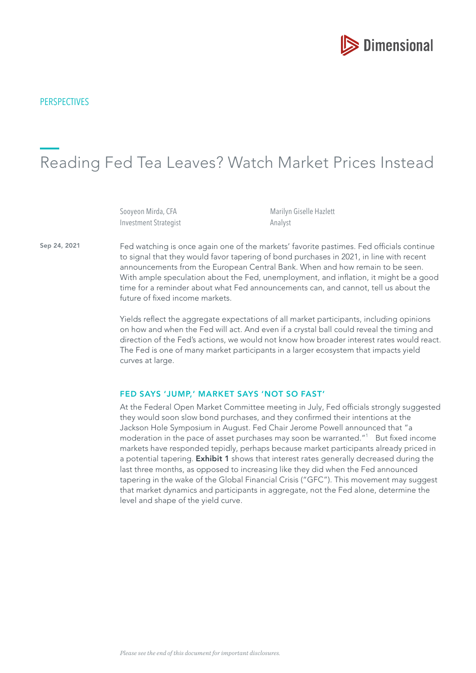

## Reading Fed Tea Leaves? Watch Market Prices Instead

Sooyeon Mirda, CFA Investment Strategist Marilyn Giselle Hazlett Analyst

Sep 24, 2021 Fed watching is once again one of the markets' favorite pastimes. Fed officials continue to signal that they would favor tapering of bond purchases in 2021, in line with recent announcements from the European Central Bank. When and how remain to be seen. With ample speculation about the Fed, unemployment, and infation, it might be a good time for a reminder about what Fed announcements can, and cannot, tell us about the future of fixed income markets.

> Yields refect the aggregate expectations of all market participants, including opinions on how and when the Fed will act. And even if a crystal ball could reveal the timing and direction of the Fed's actions, we would not know how broader interest rates would react. The Fed is one of many market participants in a larger ecosystem that impacts yield curves at large.

## FED SAYS 'JUMP,' MARKET SAYS 'NOT SO FAST'

At the Federal Open Market Committee meeting in July, Fed officials strongly suggested they would soon slow bond purchases, and they confrmed their intentions at the Jackson Hole Symposium in August. Fed Chair Jerome Powell announced that "a moderation in the pace of asset purchases may soon be warranted."<sup>1</sup> But fixed income markets have responded tepidly, perhaps because market participants already priced in a potential tapering. Exhibit 1 shows that interest rates generally decreased during the last three months, as opposed to increasing like they did when the Fed announced tapering in the wake of the Global Financial Crisis ("GFC"). This movement may suggest that market dynamics and participants in aggregate, not the Fed alone, determine the level and shape of the yield curve.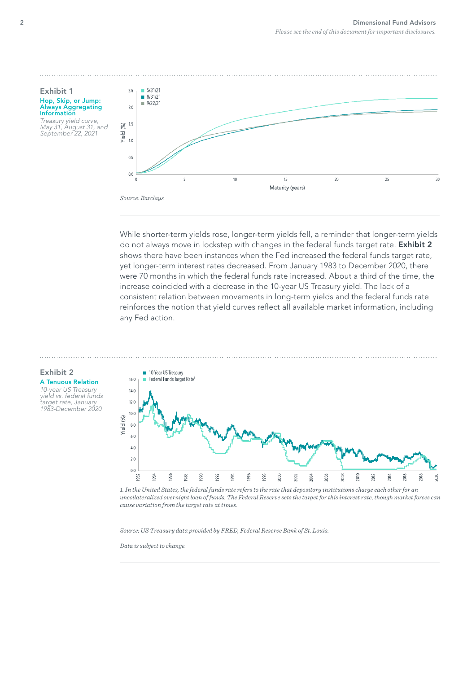## Exhibit 1 Hop, Skip, or Jump: Always Aggregating Information

Treasury yield curve, May 31, August 31, and September 22, 2021



While shorter-term yields rose, longer-term yields fell, a reminder that longer-term yields do not always move in lockstep with changes in the federal funds target rate. Exhibit 2 shows there have been instances when the Fed increased the federal funds target rate, yet longer-term interest rates decreased. From January 1983 to December 2020, there were 70 months in which the federal funds rate increased. About a third of the time, the increase coincided with a decrease in the 10-year US Treasury yield. The lack of a consistent relation between movements in long-term yields and the federal funds rate reinforces the notion that yield curves refect all available market information, including any Fed action.



10-year US Treasury yield vs. federal funds target rate, January 1983-December 2020



*1. In the United States, the federal funds rate refers to the rate that depository institutions charge each other for an uncollateralized overnight loan of funds. The Federal Reserve sets the target for this interest rate, though market forces can cause variation from the target rate at times.*

*Source: US Treasury data provided by FRED, Federal Reserve Bank of St. Louis.*

*Data is subject to change.*